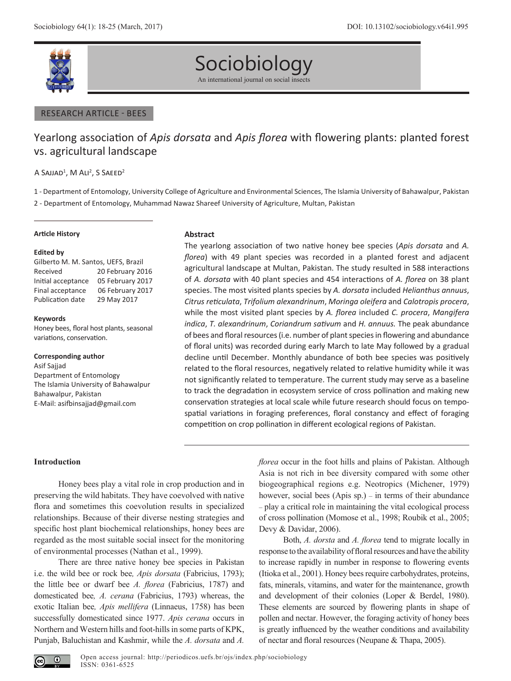

# Sociobiology

An international journal on social insects

## RESEARCH ARTICLE - BEES

# Yearlong association of *Apis dorsata* and *Apis florea* with flowering plants: planted forest vs. agricultural landscape

A SAJJAD<sup>1</sup>, M ALI<sup>2</sup>, S SAEED<sup>2</sup>

1 - Department of Entomology, University College of Agriculture and Environmental Sciences, The Islamia University of Bahawalpur, Pakistan 2 - Department of Entomology, Muhammad Nawaz Shareef University of Agriculture, Multan, Pakistan

#### **Article History**

#### **Edited by**

Gilberto M. M. Santos, UEFS, Brazil Received 20 February 2016 Initial acceptance 05 February 2017 Final acceptance 06 February 2017 Publication date 29 May 2017

#### **Keywords**

Honey bees, floral host plants, seasonal variations, conservation.

#### **Corresponding author**

Asif Sajjad Department of Entomology The Islamia University of Bahawalpur Bahawalpur, Pakistan E-Mail: asifbinsajjad@gmail.com

#### **Abstract**

The yearlong association of two native honey bee species (*Apis dorsata* and *A. florea*) with 49 plant species was recorded in a planted forest and adjacent agricultural landscape at Multan, Pakistan. The study resulted in 588 interactions of *A. dorsata* with 40 plant species and 454 interactions of *A. florea* on 38 plant species. The most visited plants species by *A. dorsata* included *Helianthus annuus*, *Citrus reticulata*, *Trifolium alexandrinum*, *Moringa oleifera* and *Calotropis procera*, while the most visited plant species by *A. florea* included *C. procera*, *Mangifera indica*, *T. alexandrinum*, *Coriandrum sativum* and *H. annuus.* The peak abundance of bees and floral resources (i.e. number of plant species in flowering and abundance of floral units) was recorded during early March to late May followed by a gradual decline until December. Monthly abundance of both bee species was positively related to the floral resources, negatively related to relative humidity while it was not significantly related to temperature. The current study may serve as a baseline to track the degradation in ecosystem service of cross pollination and making new conservation strategies at local scale while future research should focus on tempospatial variations in foraging preferences, floral constancy and effect of foraging competition on crop pollination in different ecological regions of Pakistan.

# **Introduction**

Honey bees play a vital role in crop production and in preserving the wild habitats. They have coevolved with native flora and sometimes this coevolution results in specialized relationships. Because of their diverse nesting strategies and specific host plant biochemical relationships, honey bees are regarded as the most suitable social insect for the monitoring of environmental processes (Nathan et al., 1999).

There are three native honey bee species in Pakistan i.e. the wild bee or rock bee*, Apis dorsata* (Fabricius, 1793); the little bee or dwarf bee *A. florea* (Fabricius, 1787) and domesticated bee*, A. cerana* (Fabricius, 1793) whereas, the exotic Italian bee*, Apis mellifera* (Linnaeus, 1758) has been successfully domesticated since 1977. *Apis cerana* occurs in Northern and Western hills and foot-hills in some parts of KPK, Punjab, Baluchistan and Kashmir, while the *A. dorsata* and *A.*  *florea* occur in the foot hills and plains of Pakistan. Although Asia is not rich in bee diversity compared with some other biogeographical regions e.g. Neotropics (Michener, 1979) however, social bees (Apis sp.) – in terms of their abundance – play a critical role in maintaining the vital ecological process of cross pollination (Momose et al., 1998; Roubik et al., 2005; Devy & Davidar, 2006).

Both, *A. dorsta* and *A. florea* tend to migrate locally in response to the availability of floral resources and have the ability to increase rapidly in number in response to flowering events (Itioka et al., 2001). Honey bees require carbohydrates, proteins, fats, minerals, vitamins, and water for the maintenance, growth and development of their colonies (Loper & Berdel, 1980). These elements are sourced by flowering plants in shape of pollen and nectar. However, the foraging activity of honey bees is greatly influenced by the weather conditions and availability of nectar and floral resources (Neupane & Thapa, 2005).

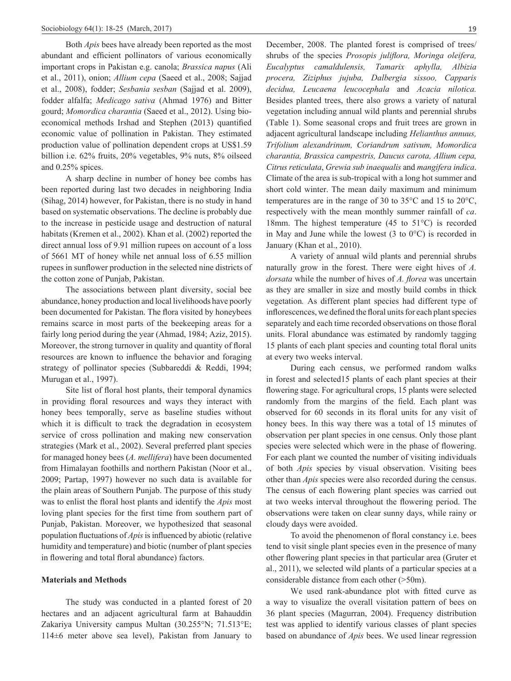Both *Apis* bees have already been reported as the most abundant and efficient pollinators of various economically important crops in Pakistan e.g. canola; *Brassica napus* (Ali et al., 2011), onion; *Allium cepa* (Saeed et al., 2008; Sajjad et al., 2008), fodder; *Sesbania sesban* (Sajjad et al. 2009), fodder alfalfa; *Medicago sativa* (Ahmad 1976) and Bitter gourd; *Momordica charantia* (Saeed et al., 2012). Using bioeconomical methods Irshad and Stephen (2013) quantified economic value of pollination in Pakistan. They estimated production value of pollination dependent crops at US\$1.59 billion i.e. 62% fruits, 20% vegetables, 9% nuts, 8% oilseed and 0.25% spices.

A sharp decline in number of honey bee combs has been reported during last two decades in neighboring India (Sihag, 2014) however, for Pakistan, there is no study in hand based on systematic observations. The decline is probably due to the increase in pesticide usage and destruction of natural habitats (Kremen et al., 2002). Khan et al. (2002) reported the direct annual loss of 9.91 million rupees on account of a loss of 5661 MT of honey while net annual loss of 6.55 million rupees in sunflower production in the selected nine districts of the cotton zone of Punjab, Pakistan.

The associations between plant diversity, social bee abundance, honey production and local livelihoods have poorly been documented for Pakistan. The flora visited by honeybees remains scarce in most parts of the beekeeping areas for a fairly long period during the year (Ahmad, 1984; Aziz, 2015). Moreover, the strong turnover in quality and quantity of floral resources are known to influence the behavior and foraging strategy of pollinator species (Subbareddi & Reddi, 1994; Murugan et al., 1997).

Site list of floral host plants, their temporal dynamics in providing floral resources and ways they interact with honey bees temporally, serve as baseline studies without which it is difficult to track the degradation in ecosystem service of cross pollination and making new conservation strategies (Mark et al., 2002). Several preferred plant species for managed honey bees (*A. mellifera*) have been documented from Himalayan foothills and northern Pakistan (Noor et al., 2009; Partap, 1997) however no such data is available for the plain areas of Southern Punjab. The purpose of this study was to enlist the floral host plants and identify the *Apis* most loving plant species for the first time from southern part of Punjab, Pakistan. Moreover, we hypothesized that seasonal population fluctuations of *Apis*is influenced by abiotic (relative humidity and temperature) and biotic (number of plant species in flowering and total floral abundance) factors.

# **Materials and Methods**

The study was conducted in a planted forest of 20 hectares and an adjacent agricultural farm at Bahauddin Zakariya University campus Multan (30.255°N; 71.513°E; 114±6 meter above sea level), Pakistan from January to December, 2008. The planted forest is comprised of trees/ shrubs of the species *Prosopis juliflora, Moringa oleifera, Eucalyptus camaldulensis, Tamarix aphylla, Albizia procera, Ziziphus jujuba, Dalbergia sissoo, Capparis decidua, Leucaena leucocephala* and *Acacia nilotica.*  Besides planted trees, there also grows a variety of natural vegetation including annual wild plants and perennial shrubs (Table 1). Some seasonal crops and fruit trees are grown in adjacent agricultural landscape including *Helianthus annuus, Trifolium alexandrinum, Coriandrum sativum, Momordica charantia, Brassica campestris, Daucus carota, Allium cepa, Citrus reticulata*, *Grewia sub inaequalis* and *mangifera indica*. Climate of the area is sub-tropical with a long hot summer and short cold winter. The mean daily maximum and minimum temperatures are in the range of 30 to 35°C and 15 to 20°C, respectively with the mean monthly summer rainfall of *ca*. 18mm. The highest temperature (45 to 51°C) is recorded in May and June while the lowest (3 to 0°C) is recorded in January (Khan et al., 2010).

A variety of annual wild plants and perennial shrubs naturally grow in the forest. There were eight hives of *A. dorsata* while the number of hives of *A. florea* was uncertain as they are smaller in size and mostly build combs in thick vegetation*.* As different plant species had different type of inflorescences, we defined the floral units for each plant species separately and each time recorded observations on those floral units. Floral abundance was estimated by randomly tagging 15 plants of each plant species and counting total floral units at every two weeks interval.

During each census, we performed random walks in forest and selected15 plants of each plant species at their flowering stage. For agricultural crops, 15 plants were selected randomly from the margins of the field. Each plant was observed for 60 seconds in its floral units for any visit of honey bees. In this way there was a total of 15 minutes of observation per plant species in one census. Only those plant species were selected which were in the phase of flowering. For each plant we counted the number of visiting individuals of both *Apis* species by visual observation. Visiting bees other than *Apis* species were also recorded during the census. The census of each flowering plant species was carried out at two weeks interval throughout the flowering period. The observations were taken on clear sunny days, while rainy or cloudy days were avoided.

To avoid the phenomenon of floral constancy i.e. bees tend to visit single plant species even in the presence of many other flowering plant species in that particular area (Gruter et al., 2011), we selected wild plants of a particular species at a considerable distance from each other (>50m).

We used rank-abundance plot with fitted curve as a way to visualize the overall visitation pattern of bees on 36 plant species (Magurran, 2004). Frequency distribution test was applied to identify various classes of plant species based on abundance of *Apis* bees. We used linear regression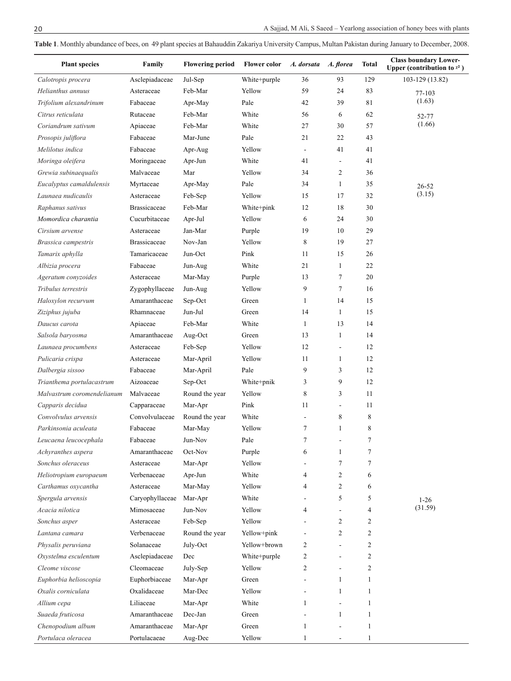**Table 1**. Monthly abundance of bees, on 49 plant species at Bahauddin Zakariya University Campus, Multan Pakistan during January to December, 2008.

| <b>Plant species</b>       | Family              | <b>Flowering period</b> | <b>Flower color</b> | A. dorsata               | A. florea                | Total | <b>Class boundary Lower-</b><br>Upper (contribution to $x^2$ ) |
|----------------------------|---------------------|-------------------------|---------------------|--------------------------|--------------------------|-------|----------------------------------------------------------------|
| Calotropis procera         | Asclepiadaceae      | Jul-Sep                 | White+purple        | 36                       | 93                       | 129   | 103-129 (13.82)                                                |
| Helianthus annuus          | Asteraceae          | Feb-Mar                 | Yellow              | 59                       | 24                       | 83    | 77-103                                                         |
| Trifolium alexandrinum     | Fabaceae            | Apr-May                 | Pale                | 42                       | 39                       | 81    | (1.63)                                                         |
| Citrus reticulata          | Rutaceae            | Feb-Mar                 | White               | 56                       | 6                        | 62    | 52-77                                                          |
| Coriandrum sativum         | Apiaceae            | Feb-Mar                 | White               | 27                       | 30                       | 57    | (1.66)                                                         |
| Prosopis juliflora         | Fabaceae            | Mar-June                | Pale                | 21                       | 22                       | 43    |                                                                |
| Melilotus indica           | Fabaceae            | Apr-Aug                 | Yellow              | $\overline{\phantom{a}}$ | 41                       | 41    |                                                                |
| Moringa oleifera           | Moringaceae         | Apr-Jun                 | White               | 41                       | $\overline{\phantom{a}}$ | 41    |                                                                |
| Grewia subinaequalis       | Malvaceae           | Mar                     | Yellow              | 34                       | $\overline{2}$           | 36    |                                                                |
| Eucalyptus camaldulensis   | Myrtaceae           | Apr-May                 | Pale                | 34                       | 1                        | 35    | $26 - 52$                                                      |
| Launaea nudicaulis         | Asteraceae          | Feb-Sep                 | Yellow              | 15                       | 17                       | 32    | (3.15)                                                         |
| Raphanus sativus           | <b>Brassicaceae</b> | Feb-Mar                 | White+pink          | 12                       | 18                       | 30    |                                                                |
| Momordica charantia        | Cucurbitaceae       | Apr-Jul                 | Yellow              | 6                        | 24                       | 30    |                                                                |
| Cirsium arvense            | Asteraceae          | Jan-Mar                 | Purple              | 19                       | 10                       | 29    |                                                                |
| Brassica campestris        | <b>Brassicaceae</b> | Nov-Jan                 | Yellow              | 8                        | 19                       | 27    |                                                                |
| Tamarix aphylla            | Tamaricaceae        | Jun-Oct                 | Pink                | 11                       | 15                       | 26    |                                                                |
| Albizia procera            | Fabaceae            | Jun-Aug                 | White               | 21                       | $\mathbf{1}$             | 22    |                                                                |
| Ageratum conyzoides        | Asteraceae          | Mar-May                 | Purple              | 13                       | 7                        | 20    |                                                                |
| Tribulus terrestris        | Zygophyllaceae      | Jun-Aug                 | Yellow              | 9                        | $\tau$                   | 16    |                                                                |
| Haloxylon recurvum         | Amaranthaceae       | Sep-Oct                 | Green               | 1                        | 14                       | 15    |                                                                |
| Ziziphus jujuba            | Rhamnaceae          | Jun-Jul                 | Green               | 14                       | 1                        | 15    |                                                                |
| Daucus carota              | Apiaceae            | Feb-Mar                 | White               | $\mathbf{1}$             | 13                       | 14    |                                                                |
| Salsola baryosma           | Amaranthaceae       | Aug-Oct                 | Green               | 13                       | $\mathbf{1}$             | 14    |                                                                |
| Launaea procumbens         | Asteraceae          | Feb-Sep                 | Yellow              | 12                       | $\overline{a}$           | 12    |                                                                |
| Pulicaria crispa           | Asteraceae          | Mar-April               | Yellow              | 11                       | 1                        | 12    |                                                                |
| Dalbergia sissoo           | Fabaceae            | Mar-April               | Pale                | 9                        | 3                        | 12    |                                                                |
| Trianthema portulacastrum  | Aizoaceae           | Sep-Oct                 | White+pnik          | 3                        | 9                        | 12    |                                                                |
| Malvastrum coromendelianum | Malvaceae           | Round the year          | Yellow              | 8                        | 3                        | 11    |                                                                |
| Capparis decidua           | Capparaceae         | Mar-Apr                 | Pink                | 11                       | $\blacksquare$           | 11    |                                                                |
| Convolvulus arvensis       | Convolvulaceae      | Round the year          | White               |                          | 8                        | 8     |                                                                |
| Parkinsonia aculeata       | Fabaceae            | Mar-May                 | Yellow              | $\overline{7}$           | 1                        | 8     |                                                                |
| Leucaena leucocephala      | Fabaceae            | Jun-Nov                 | Pale                |                          |                          |       |                                                                |
| Achyranthes aspera         | Amaranthaceae       | Oct-Nov                 | Purple              | 6                        | 1                        | 7     |                                                                |
| Sonchus oleraceus          | Asteraceae          | Mar-Apr                 | Yellow              |                          | $\overline{7}$           | 7     |                                                                |
| Heliotropium europaeum     | Verbenaceae         | Apr-Jun                 | White               | 4                        | $\overline{2}$           | 6     |                                                                |
| Carthamus oxycantha        | Asteraceae          | Mar-May                 | Yellow              | 4                        | 2                        | 6     |                                                                |
| Spergula arvensis          | Caryophyllaceae     | Mar-Apr                 | White               |                          | 5                        | 5     |                                                                |
| Acacia nilotica            | Mimosaceae          | Jun-Nov                 | Yellow              | 4                        |                          | 4     | $1-26$<br>(31.59)                                              |
| Sonchus asper              | Asteraceae          | Feb-Sep                 | Yellow              |                          | $\overline{2}$           | 2     |                                                                |
| Lantana camara             | Verbenaceae         | Round the year          | Yellow+pink         |                          | 2                        | 2     |                                                                |
| Physalis peruviana         | Solanaceae          | July-Oct                | Yellow+brown        | 2                        |                          | 2     |                                                                |
| Oxystelma esculentum       | Asclepiadaceae      | Dec                     | White+purple        | 2                        |                          | 2     |                                                                |
| Cleome viscose             | Cleomaceae          | July-Sep                | Yellow              | $\overline{c}$           |                          | 2     |                                                                |
| Euphorbia helioscopia      | Euphorbiaceae       | Mar-Apr                 | Green               |                          | 1                        | 1     |                                                                |
| Oxalis corniculata         | Oxalidaceae         | Mar-Dec                 | Yellow              |                          | 1                        | 1     |                                                                |
|                            | Liliaceae           |                         | White               | $\mathbf{1}$             |                          | 1     |                                                                |
| Allium cepa                |                     | Mar-Apr                 |                     |                          | $\mathbf{1}$             |       |                                                                |
| Suaeda fruticosa           | Amaranthaceae       | Dec-Jan                 | Green               |                          |                          | 1     |                                                                |
| Chenopodium album          | Amaranthaceae       | Mar-Apr                 | Green               | 1                        |                          | 1     |                                                                |
| Portulaca oleracea         | Portulacaeae        | Aug-Dec                 | Yellow              | $\mathbf{1}$             |                          | 1     |                                                                |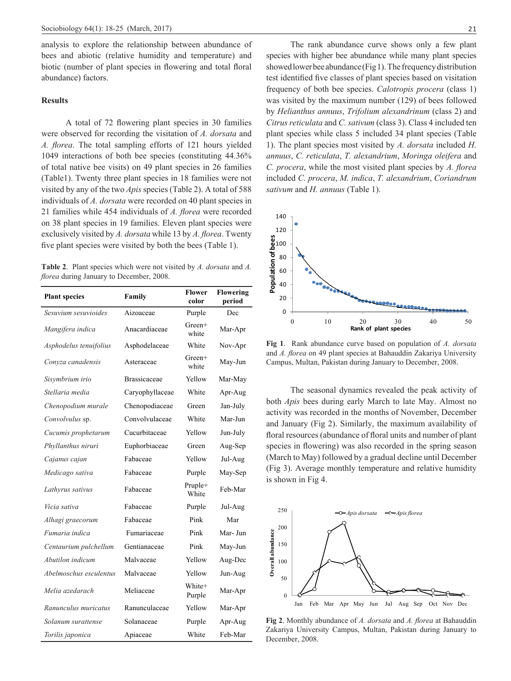analysis to explore the relationship between abundance of bees and abiotic (relative humidity and temperature) and biotic (number of plant species in flowering and total floral abundance) factors.

# **Results**

A total of 72 flowering plant species in 30 families were observed for recording the visitation of *A. dorsata* and *A. florea*. The total sampling efforts of 121 hours yielded 1049 interactions of both bee species (constituting 44.36% of total native bee visits) on 49 plant species in 26 families (Table1). Twenty three plant species in 18 families were not visited by any of the two *Apis* species (Table 2). A total of 588 individuals of *A. dorsata* were recorded on 40 plant species in 21 families while 454 individuals of *A. florea* were recorded on 38 plant species in 19 families. Eleven plant species were exclusively visited by *A. dorsata* while 13 by *A. florea*. Twenty five plant species were visited by both the bees (Table 1).

**Table 2**. Plant species which were not visited by *A. dorsata* and *A. florea* during January to December, 2008.

| <b>Plant species</b>   | Family          | Flower<br>color   | <b>Flowering</b><br>period |
|------------------------|-----------------|-------------------|----------------------------|
| Sesuvium sesuvioides   | Aizoaceae       | Purple            | Dec                        |
| Mangifera indica       | Anacardiaceae   | $Green+$<br>white | Mar-Apr                    |
| Asphodelus tenuifolius | Asphodelaceae   | White             | Nov-Apr                    |
| Conyza canadensis      | Asteraceae      | Green+<br>white   | May-Jun                    |
| Sisymbrium irio        | Brassicaceae    | Yellow            | Mar-May                    |
| Stellaria media        | Caryophyllaceae | White             | Apr-Aug                    |
| Chenopodium murale     | Chenopodiaceae  | Green             | Jan-July                   |
| Convolvulus sp.        | Convolvulaceae  | White             | Mar-Jun                    |
| Cucumis prophetarum    | Cucurbitaceae   | Yellow            | Jun-July                   |
| Phyllanthus niruri     | Euphorbiaceae   | Green             | Aug-Sep                    |
| Cajanus cajan          | Fabaceae        | Yellow            | Jul-Aug                    |
| Medicago sativa        | Fabaceae        | Purple            | May-Sep                    |
| Lathyrus sativus       | Fabaceae        | Pruple+<br>White  | Feb-Mar                    |
| Vicia sativa           | Fabaceae        | Purple            | Jul-Aug                    |
| Alhagi graecorum       | Fabaceae        | Pink              | Mar                        |
| Fumaria indica         | Fumariaceae     | Pink              | Mar- Jun                   |
| Centaurium pulchellum  | Gentianaceae    | Pink              | May-Jun                    |
| Abutilon indicum       | Malvaceae       | Yellow            | Aug-Dec                    |
| Abelmoschus esculentus | Malvaceae       | Yellow            | Jun-Aug                    |
| Melia azedarach        | Meliaceae       | White+<br>Purple  | Mar-Apr                    |
| Ranunculus muricatus   | Ranunculaceae   | Yellow            | Mar-Apr                    |
| Solanum surattense     | Solanaceae      | Purple            | Apr-Aug                    |
| Torilis japonica       | Apiaceae        | White             | Feb-Mar                    |

The rank abundance curve shows only a few plant species with higher bee abundance while many plant species showed lower bee abundance (Fig 1). The frequency distribution test identified five classes of plant species based on visitation frequency of both bee species. *Calotropis procera* (class 1) was visited by the maximum number (129) of bees followed by *Helianthus annuus*, *Trifolium alexandrinum* (class 2) and *Citrus reticulata* and *C. sativum* (class 3). Class 4 included ten plant species while class 5 included 34 plant species (Table 1). The plant species most visited by *A. dorsata* included *H. annuus*, *C. reticulata*, *T. alexandrium*, *Moringa oleifera* and *C. procera*, while the most visited plant species by *A. florea* included *C. procera*, *M. indica*, *T. alexandrium*, *Coriandrum sativum* and *H. annuus* (Table 1).



**Fig 1**. Rank abundance curve based on population of *A. dorsata* and *A. florea* on 49 plant species at Bahauddin Zakariya University Campus, Multan, Pakistan during January to December, 2008.

The seasonal dynamics revealed the peak activity of both *Apis* bees during early March to late May. Almost no activity was recorded in the months of November, December and January (Fig 2). Similarly, the maximum availability of floral resources (abundance of floral units and number of plant species in flowering) was also recorded in the spring season (March to May) followed by a gradual decline until December (Fig 3). Average monthly temperature and relative humidity is shown in Fig 4.



**Fig 2**. Monthly abundance of *A. dorsata* and *A. florea* at Bahauddin Zakariya University Campus, Multan, Pakistan during January to December, 2008.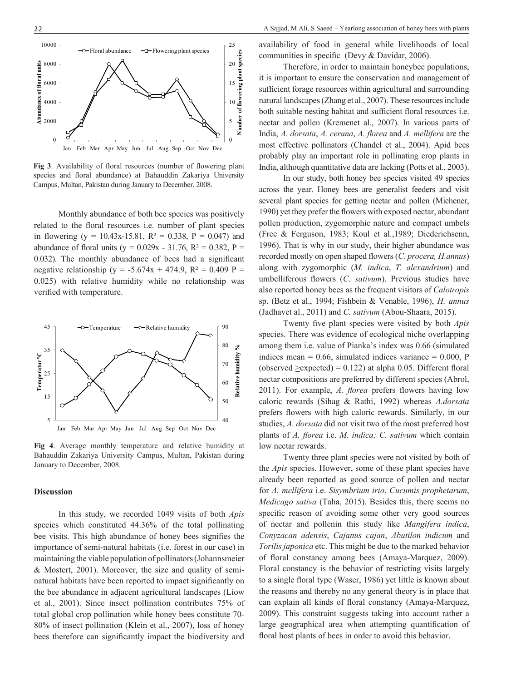

**Fig 3**. Availability of floral resources (number of flowering plant species and floral abundance) at Bahauddin Zakariya University Campus, Multan, Pakistan during January to December, 2008.

Monthly abundance of both bee species was positively related to the floral resources i.e. number of plant species in flowering (y = 10.43x-15.81,  $R^2 = 0.338$ , P = 0.047) and abundance of floral units (y =  $0.029x - 31.76$ , R<sup>2</sup> = 0.382, P = 0.032). The monthly abundance of bees had a significant negative relationship (y = -5.674x + 474.9,  $R^2 = 0.409 P =$ 0.025) with relative humidity while no relationship was verified with temperature.



**Fig 4**. Average monthly temperature and relative humidity at Bahauddin Zakariya University Campus, Multan, Pakistan during January to December, 2008.

# **Discussion**

In this study, we recorded 1049 visits of both *Apis* species which constituted 44.36% of the total pollinating bee visits. This high abundance of honey bees signifies the importance of semi-natural habitats (i.e. forest in our case) in maintaining the viable population of pollinators (Johannsmeier & Mostert, 2001). Moreover, the size and quality of seminatural habitats have been reported to impact significantly on the bee abundance in adjacent agricultural landscapes (Liow et al., 2001). Since insect pollination contributes 75% of total global crop pollination while honey bees constitute 70- 80% of insect pollination (Klein et al., 2007), loss of honey bees therefore can significantly impact the biodiversity and availability of food in general while livelihoods of local communities in specific (Devy & Davidar, 2006).

Therefore, in order to maintain honeybee populations, it is important to ensure the conservation and management of sufficient forage resources within agricultural and surrounding natural landscapes (Zhang et al., 2007). These resources include both suitable nesting habitat and sufficient floral resources i.e. nectar and pollen (Kremenet al., 2007). In various parts of India, *A. dorsata*, *A. cerana*, *A. florea* and *A. mellifera* are the most effective pollinators (Chandel et al., 2004). Apid bees probably play an important role in pollinating crop plants in India, although quantitative data are lacking (Potts et al., 2003).

In our study, both honey bee species visited 49 species across the year. Honey bees are generalist feeders and visit several plant species for getting nectar and pollen (Michener, 1990) yet they prefer the flowers with exposed nectar, abundant pollen production, zygomorphic nature and compact umbels (Free & Ferguson, 1983; Koul et al.,1989; Diederichsenn, 1996). That is why in our study, their higher abundance was recorded mostly on open shaped flowers (*C. procera, H.annus*) along with zygomorphic (*M. indica*, *T. alexandrium*) and umbelliferous flowers (*C. sativum*). Previous studies have also reported honey bees as the frequent visitors of *Calotropis* sp. (Betz et al., 1994; Fishbein & Venable, 1996), *H. annus*  (Jadhavet al., 2011) and *C. sativum* (Abou-Shaara, 2015).

Twenty five plant species were visited by both *Apis* species. There was evidence of ecological niche overlapping among them i.e. value of Pianka's index was 0.66 (simulated indices mean  $= 0.66$ , simulated indices variance  $= 0.000$ , P (observed  $\geq$ expected) = 0.122) at alpha 0.05. Different floral nectar compositions are preferred by different species (Abrol, 2011). For example, *A. florea* prefers flowers having low caloric rewards (Sihag & Rathi, 1992) whereas *A.dorsata*  prefers flowers with high caloric rewards. Similarly, in our studies, *A. dorsata* did not visit two of the most preferred host plants of *A. florea* i.e. *M. indica; C. sativum* which contain low nectar rewards.

Twenty three plant species were not visited by both of the *Apis* species. However, some of these plant species have already been reported as good source of pollen and nectar for *A. mellifera* i.e. *Sisymbrium irio*, *Cucumis prophetarum*, *Medicago sativa* (Taha, 2015). Besides this, there seems no specific reason of avoiding some other very good sources of nectar and pollenin this study like *Mangifera indica*, *Conyzacan adensis*, *Cajanus cajan*, *Abutilon indicum* and *Torilis japonica* etc. This might be due to the marked behavior of floral constancy among bees (Amaya-Marquez, 2009). Floral constancy is the behavior of restricting visits largely to a single floral type (Waser, 1986) yet little is known about the reasons and thereby no any general theory is in place that can explain all kinds of floral constancy (Amaya-Marquez, 2009). This constraint suggests taking into account rather a large geographical area when attempting quantification of floral host plants of bees in order to avoid this behavior.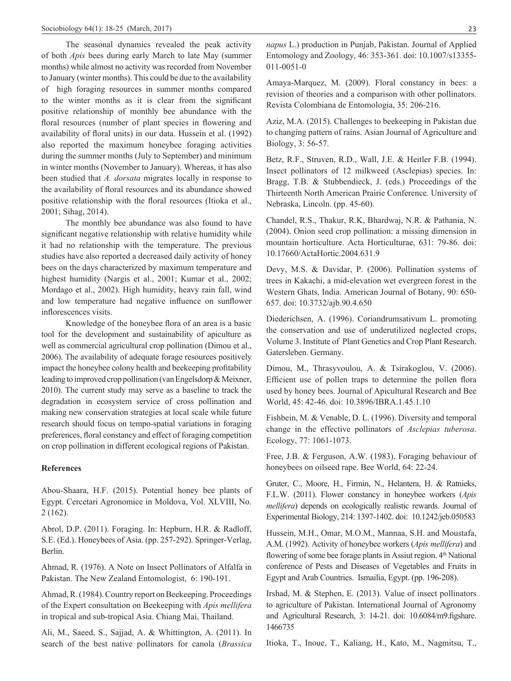The seasonal dynamics revealed the peak activity of both *Apis* bees during early March to late May (summer months) while almost no activity was recorded from November to January (winter months). This could be due to the availability of high foraging resources in summer months compared to the winter months as it is clear from the significant positive relationship of monthly bee abundance with the floral resources (number of plant species in flowering and availability of floral units) in our data. Hussein et al. (1992) also reported the maximum honeybee foraging activities during the summer months (July to September) and minimum in winter months (November to January). Whereas, it has also been studied that *A. dorsata* migrates locally in response to the availability of floral resources and its abundance showed positive relationship with the floral resources (Itioka et al., 2001; Sihag, 2014).

The monthly bee abundance was also found to have significant negative relationship with relative humidity while it had no relationship with the temperature. The previous studies have also reported a decreased daily activity of honey bees on the days characterized by maximum temperature and highest humidity (Nargis et al., 2001; Kumar et al., 2002; Mordago et al., 2002). High humidity, heavy rain fall, wind and low temperature had negative influence on sunflower inflorescences visits.

Knowledge of the honeybee flora of an area is a basic tool for the development and sustainability of apiculture as well as commercial agricultural crop pollination (Dimou et al., 2006). The availability of adequate forage resources positively impact the honeybee colony health and beekeeping profitability leading to improved crop pollination (van Engelsdorp & Meixner, 2010). The current study may serve as a baseline to track the degradation in ecosystem service of cross pollination and making new conservation strategies at local scale while future research should focus on tempo-spatial variations in foraging preferences, floral constancy and effect of foraging competition on crop pollination in different ecological regions of Pakistan.

## **References**

Abou-Shaara, H.F. (2015). Potential honey bee plants of Egypt. Cercetari Agronomice in Moldova, Vol. XLVIII, No. 2 (162).

Abrol, D.P. (2011). Foraging. In: Hepburn, H.R. & Radloff, S.E. (Ed.). Honeybees of Asia. (pp. 257-292). Springer-Verlag, Berlin.

Ahmad, R. (1976). A Note on Insect Pollinators of Alfalfa in Pakistan. The New Zealand Entomologist, 6: 190-191.

Ahmad, R. (1984). Country report on Beekeeping. Proceedings of the Expert consultation on Beekeeping with *Apis mellifera* in tropical and sub-tropical Asia. Chiang Mai, Thailand.

Ali, M., Saeed, S., Sajjad, A. & Whittington, A. (2011). In search of the best native pollinators for canola (*Brassica*  *napus* L.) production in Punjab, Pakistan. Journal of Applied Entomology and Zoology, 46: 353-361. doi: 10.1007/s13355- 011-0051-0

Amaya-Marquez, M. (2009). Floral constancy in bees: a revision of theories and a comparison with other pollinators. Revista Colombiana de Entomologia, 35: 206-216.

Aziz, M.A. (2015). Challenges to beekeeping in Pakistan due to changing pattern of rains. Asian Journal of Agriculture and Biology, 3: 56-57.

Betz, R.F., Struven, R.D., Wall, J.E. & Heitler F.B. (1994). Insect pollinators of 12 milkweed (Asclepias) species. In: Bragg, T.B. & Stubbendieck, J. (eds.) Proceedings of the Thirteenth North American Prairie Conference. University of Nebraska, Lincoln. (pp. 45-60).

Chandel, R.S., Thakur, R.K, Bhardwaj, N.R. & Pathania, N. (2004). Onion seed crop pollination: a missing dimension in mountain horticulture. Acta Horticulturae, 631: 79-86. doi: 10.17660/ActaHortic.2004.631.9

Devy, M.S. & Davidar, P. (2006). Pollination systems of trees in Kakachi, a mid-elevation wet evergreen forest in the Western Ghats, India. American Journal of Botany, 90: 650- 657. doi: 10.3732/ajb.90.4.650

Diederichsen, A. (1996). Coriandrumsativum L. promoting the conservation and use of underutilized neglected crops, Volume 3. Institute of Plant Genetics and Crop Plant Research. Gatersleben. Germany.

Dimou, M., Thrasyvoulou, A. & Tsirakoglou, V. (2006). Efficient use of pollen traps to determine the pollen flora used by honey bees. Journal of Apicultural Research and Bee World, 45: 42-46. doi: 10.3896/IBRA.1.45.1.10

Fishbein, M. & Venable, D. L. (1996). Diversity and temporal change in the effective pollinators of *Asclepias tuberosa*. Ecology, 77: 1061-1073.

Free, J.B. & Ferguson, A.W. (1983). Foraging behaviour of honeybees on oilseed rape. Bee World, 64: 22-24.

Gruter, C., Moore, H., Firmin, N., Helantera, H. & Ratnieks, F.L.W. (2011). Flower constancy in honeybee workers (*Apis mellifera*) depends on ecologically realistic rewards. Journal of Experimental Biology, 214: 1397-1402. doi: 10.1242/jeb.050583

Hussein, M.H., Omar, M.O.M., Mannaa, S.H. and Moustafa, A.M. (1992). Activity of honeybee workers (*Apis mellifera*) and flowering of some bee forage plants in Assiut region. 4<sup>th</sup> National conference of Pests and Diseases of Vegetables and Fruits in Egypt and Arab Countries. Ismailia, Egypt. (pp. 196-208).

Irshad, M. & Stephen, E. (2013). Value of insect pollinators to agriculture of Pakistan. International Journal of Agronomy and Agricultural Research, 3: 14-21. doi: 10.6084/m9.figshare. 1466735

Itioka, T., Inoue, T., Kaliang, H., Kato, M., Nagmitsu, T.,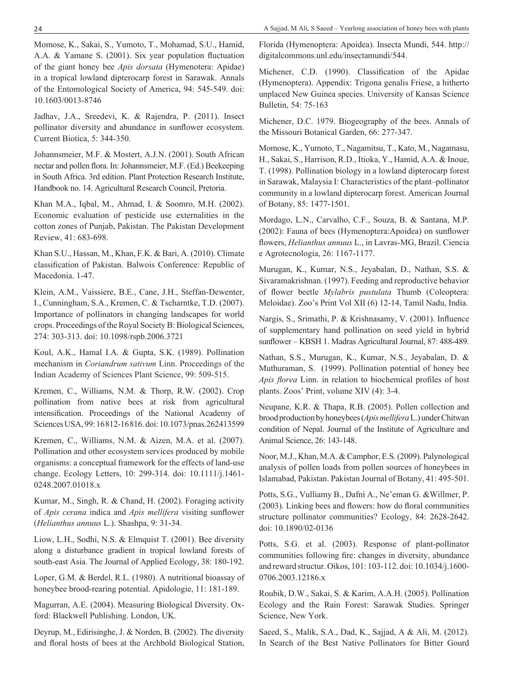Momose, K., Sakai, S., Yumoto, T., Mohamad, S.U., Hamid, A.A. & Yamane S. (2001). Six year population fluctuation of the giant honey bee *Apis dorsata* (Hymenotera: Apidae) in a tropical lowland dipterocarp forest in Sarawak. Annals of the Entomological Society of America, 94: 545-549. doi: 10.1603/0013-8746

Jadhav, J.A., Sreedevi, K. & Rajendra, P. (2011). Insect pollinator diversity and abundance in sunflower ecosystem. Current Biotica, 5: 344-350.

Johannsmeier, M.F. & Mostert, A.J.N. (2001). South African nectar and pollen flora. In: Johannsmeier, M.F. (Ed.) Beekeeping in South Africa. 3rd edition. Plant Protection Research Institute, Handbook no. 14. Agricultural Research Council, Pretoria.

Khan M.A., Iqbal, M., Ahmad, I. & Soomro, M.H. (2002). Economic evaluation of pesticide use externalities in the cotton zones of Punjab, Pakistan. The Pakistan Development Review, 41: 683-698.

Khan S.U., Hassan, M., Khan, F.K. & Bari, A. (2010). Climate classification of Pakistan. Balwois Conference: Republic of Macedonia. 1-47.

Klein, A.M., Vaissiere, B.E., Cane, J.H., Steffan-Dewenter, I., Cunningham, S.A., Kremen, C. & Tscharntke, T.D. (2007). Importance of pollinators in changing landscapes for world crops. Proceedings of the Royal Society B: Biological Sciences, 274: 303-313. doi: 10.1098/rspb.2006.3721

Koul, A.K., Hamal I.A. & Gupta, S.K. (1989). Pollination mechanism in *Coriandrum sativum* Linn. Proceedings of the Indian Academy of Sciences Plant Science, 99: 509-515.

Kremen, C., Williams, N.M. & Thorp, R.W. (2002). Crop pollination from native bees at risk from agricultural intensification. Proceedings of the National Academy of Sciences USA, 99:16812-16816. doi: 10.1073/pnas.262413599

Kremen, C., Williams, N.M. & Aizen, M.A. et al. (2007). Pollination and other ecosystem services produced by mobile organisms: a conceptual framework for the effects of land-use change. Ecology Letters, 10: 299-314. doi: 10.1111/j.1461- 0248.2007.01018.x

Kumar, M., Singh, R. & Chand, H. (2002). Foraging activity of *Apis cerana* indica and *Apis mellifera* visiting sunflower (*Helianthus annuus* L.). Shashpa, 9: 31-34.

Liow, L.H., Sodhi, N.S. & Elmquist T. (2001). Bee diversity along a disturbance gradient in tropical lowland forests of south-east Asia. The Journal of Applied Ecology, 38: 180-192.

Loper, G.M. & Berdel, R.L. (1980). A nutritional bioassay of honeybee brood-rearing potential. Apidologie, 11: 181-189.

Magurran, A.E. (2004). Measuring Biological Diversity. Oxford: Blackwell Publishing. London, UK.

Deyrup, M., Edirisinghe, J. & Norden, B. (2002). The diversity and floral hosts of bees at the Archbold Biological Station, Florida (Hymenoptera: Apoidea). Insecta Mundi, 544. http:// digitalcommons.unl.edu/insectamundi/544.

Michener, C.D. (1990). Classification of the Apidae (Hymenoptera). Appendix: Trigona genalis Friese, a hitherto unplaced New Guinea species. University of Kansas Science Bulletin, 54: 75-163

Michener, D.C. 1979. Biogeography of the bees. Annals of the Missouri Botanical Garden, 66: 277-347.

Momose, K., Yumoto, T., Nagamitsu, T., Kato, M., Nagamasu, H., Sakai, S., Harrison, R.D., Itioka, Y., Hamid, A.A. & Inoue, T. (1998). Pollination biology in a lowland dipterocarp forest in Sarawak, Malaysia I: Characteristics of the plant–pollinator community in a lowland dipterocarp forest. American Journal of Botany, 85: 1477-1501.

Mordago, L.N., Carvalho, C.F., Souza, B. & Santana, M.P. (2002): Fauna of bees (Hymenoptera:Apoidea) on sunflower flowers, *Helianthus annuus* L., in Lavras-MG, Brazil. Ciencia e Agrotecnologia, 26: 1167-1177.

Murugan, K., Kumar, N.S., Jeyabalan, D., Nathan, S.S. & Sivaramakrishnan. (1997). Feeding and reproductive behavior of flower beetle *Mylabris pustulata* Thumb (Coleoptera: Meloidae). Zoo's Print Vol XII (6) 12-14, Tamil Nadu, India.

Nargis, S., Srimathi, P. & Krishnasamy, V. (2001). Influence of supplementary hand pollination on seed yield in hybrid sunflower – KBSH 1. Madras Agricultural Journal, 87: 488-489.

Nathan, S.S., Murugan, K., Kumar, N.S., Jeyabalan, D. & Muthuraman, S. (1999). Pollination potential of honey bee *Apis florea* Linn. in relation to biochemical profiles of host plants. Zoos' Print, volume XIV (4): 3-4.

Neupane, K.R. & Thapa, R.B. (2005). Pollen collection and brood production by honeybees (*Apismellifera* L.) under Chitwan condition of Nepal. Journal of the Institute of Agriculture and Animal Science, 26: 143-148.

Noor, M.J., Khan, M.A. & Camphor, E.S. (2009). Palynological analysis of pollen loads from pollen sources of honeybees in Islamabad, Pakistan. Pakistan Journal of Botany, 41: 495-501.

Potts, S.G., Vulliamy B., Dafni A., Ne'eman G. &Willmer, P. (2003). Linking bees and flowers: how do floral communities structure pollinator communities? Ecology, 84: 2628-2642. doi: 10.1890/02-0136

Potts, S.G. et al. (2003). Response of plant-pollinator communities following fire: changes in diversity, abundance and reward structur. Oikos, 101: 103-112. doi: 10.1034/j.1600- 0706.2003.12186.x

Roubik, D.W., Sakai, S. & Karim, A.A.H. (2005). Pollination Ecology and the Rain Forest: Sarawak Studies. Springer Science, New York.

Saeed, S., Malik, S.A., Dad, K., Sajjad, A & Ali, M. (2012). In Search of the Best Native Pollinators for Bitter Gourd